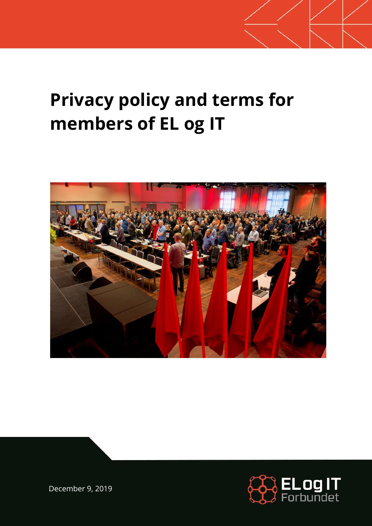# **Privacy policy and terms for members of EL og IT**





December 9, 2019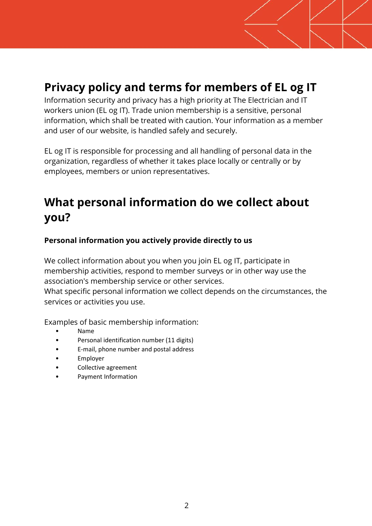### **Privacy policy and terms for members of EL og IT**

Information security and privacy has a high priority at The Electrician and IT workers union (EL og IT). Trade union membership is a sensitive, personal information, which shall be treated with caution. Your information as a member and user of our website, is handled safely and securely.

EL og IT is responsible for processing and all handling of personal data in the organization, regardless of whether it takes place locally or centrally or by employees, members or union representatives.

# **What personal information do we collect about you?**

#### **Personal information you actively provide directly to us**

We collect information about you when you join EL og IT, participate in membership activities, respond to member surveys or in other way use the association's membership service or other services.

What specific personal information we collect depends on the circumstances, the services or activities you use.

Examples of basic membership information:

- Name
- Personal identification number (11 digits)
- E-mail, phone number and postal address
- **Employer**
- Collective agreement
- Payment Information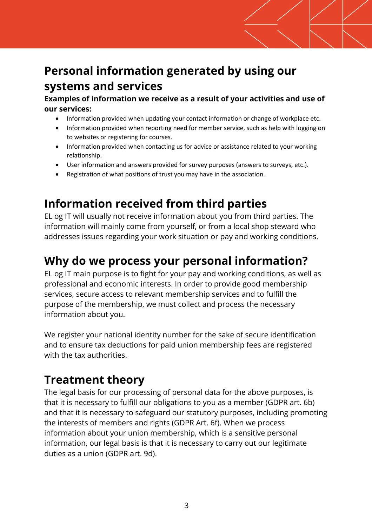# **Personal information generated by using our systems and services**

**Examples of information we receive as a result of your activities and use of our services:**

- Information provided when updating your contact information or change of workplace etc.
- Information provided when reporting need for member service, such as help with logging on to websites or registering for courses.
- Information provided when contacting us for advice or assistance related to your working relationship.
- User information and answers provided for survey purposes (answers to surveys, etc.).
- Registration of what positions of trust you may have in the association.

### **Information received from third parties**

EL og IT will usually not receive information about you from third parties. The information will mainly come from yourself, or from a local shop steward who addresses issues regarding your work situation or pay and working conditions.

#### **Why do we process your personal information?**

EL og IT main purpose is to fight for your pay and working conditions, as well as professional and economic interests. In order to provide good membership services, secure access to relevant membership services and to fulfill the purpose of the membership, we must collect and process the necessary information about you.

We register your national identity number for the sake of secure identification and to ensure tax deductions for paid union membership fees are registered with the tax authorities.

#### **Treatment theory**

The legal basis for our processing of personal data for the above purposes, is that it is necessary to fulfill our obligations to you as a member (GDPR art. 6b) and that it is necessary to safeguard our statutory purposes, including promoting the interests of members and rights (GDPR Art. 6f). When we process information about your union membership, which is a sensitive personal information, our legal basis is that it is necessary to carry out our legitimate duties as a union (GDPR art. 9d).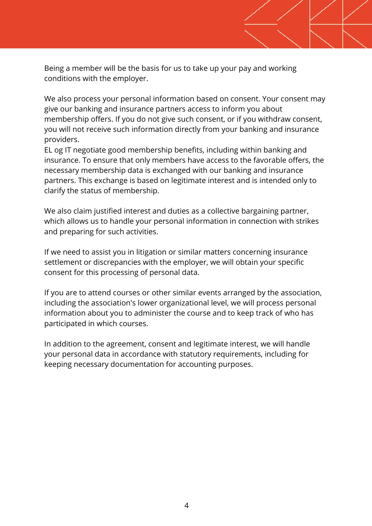Being a member will be the basis for us to take up your pay and working conditions with the employer.

We also process your personal information based on consent. Your consent may give our banking and insurance partners access to inform you about membership offers. If you do not give such consent, or if you withdraw consent, you will not receive such information directly from your banking and insurance providers.

EL og IT negotiate good membership benefits, including within banking and insurance. To ensure that only members have access to the favorable offers, the necessary membership data is exchanged with our banking and insurance partners. This exchange is based on legitimate interest and is intended only to clarify the status of membership.

We also claim justified interest and duties as a collective bargaining partner, which allows us to handle your personal information in connection with strikes and preparing for such activities.

If we need to assist you in litigation or similar matters concerning insurance settlement or discrepancies with the employer, we will obtain your specific consent for this processing of personal data.

If you are to attend courses or other similar events arranged by the association, including the association's lower organizational level, we will process personal information about you to administer the course and to keep track of who has participated in which courses.

In addition to the agreement, consent and legitimate interest, we will handle your personal data in accordance with statutory requirements, including for keeping necessary documentation for accounting purposes.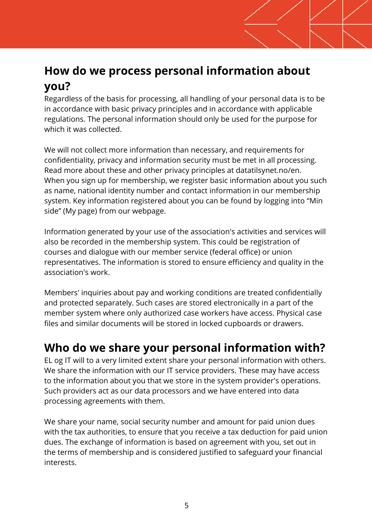### **How do we process personal information about you?**

Regardless of the basis for processing, all handling of your personal data is to be in accordance with basic privacy principles and in accordance with applicable regulations. The personal information should only be used for the purpose for which it was collected.

We will not collect more information than necessary, and requirements for confidentiality, privacy and information security must be met in all processing. Read more about these and other privacy principles at datatilsynet.no/en. When you sign up for membership, we register basic information about you such as name, national identity number and contact information in our membership system. Key information registered about you can be found by logging into "Min side" (My page) from our webpage.

Information generated by your use of the association's activities and services will also be recorded in the membership system. This could be registration of courses and dialogue with our member service (federal office) or union representatives. The information is stored to ensure efficiency and quality in the association's work.

Members' inquiries about pay and working conditions are treated confidentially and protected separately. Such cases are stored electronically in a part of the member system where only authorized case workers have access. Physical case files and similar documents will be stored in locked cupboards or drawers.

### **Who do we share your personal information with?**

EL og IT will to a very limited extent share your personal information with others. We share the information with our IT service providers. These may have access to the information about you that we store in the system provider's operations. Such providers act as our data processors and we have entered into data processing agreements with them.

We share your name, social security number and amount for paid union dues with the tax authorities, to ensure that you receive a tax deduction for paid union dues. The exchange of information is based on agreement with you, set out in the terms of membership and is considered justified to safeguard your financial interests.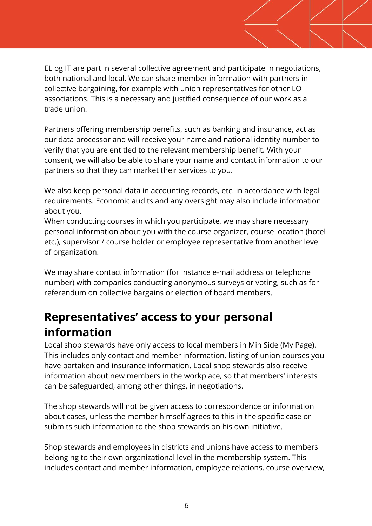EL og IT are part in several collective agreement and participate in negotiations, both national and local. We can share member information with partners in collective bargaining, for example with union representatives for other LO associations. This is a necessary and justified consequence of our work as a trade union.

Partners offering membership benefits, such as banking and insurance, act as our data processor and will receive your name and national identity number to verify that you are entitled to the relevant membership benefit. With your consent, we will also be able to share your name and contact information to our partners so that they can market their services to you.

We also keep personal data in accounting records, etc. in accordance with legal requirements. Economic audits and any oversight may also include information about you.

When conducting courses in which you participate, we may share necessary personal information about you with the course organizer, course location (hotel etc.), supervisor / course holder or employee representative from another level of organization.

We may share contact information (for instance e-mail address or telephone number) with companies conducting anonymous surveys or voting, such as for referendum on collective bargains or election of board members.

#### **Representatives' access to your personal information**

Local shop stewards have only access to local members in Min Side (My Page). This includes only contact and member information, listing of union courses you have partaken and insurance information. Local shop stewards also receive information about new members in the workplace, so that members' interests can be safeguarded, among other things, in negotiations.

The shop stewards will not be given access to correspondence or information about cases, unless the member himself agrees to this in the specific case or submits such information to the shop stewards on his own initiative.

Shop stewards and employees in districts and unions have access to members belonging to their own organizational level in the membership system. This includes contact and member information, employee relations, course overview,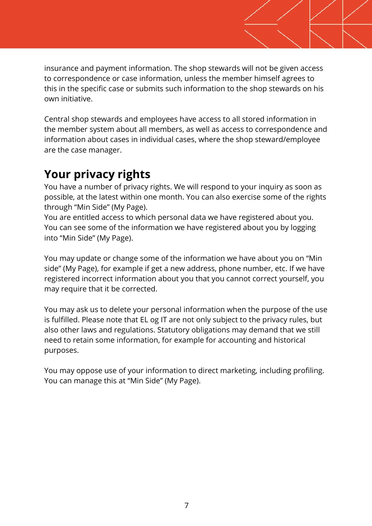insurance and payment information. The shop stewards will not be given access to correspondence or case information, unless the member himself agrees to this in the specific case or submits such information to the shop stewards on his own initiative.

Central shop stewards and employees have access to all stored information in the member system about all members, as well as access to correspondence and information about cases in individual cases, where the shop steward/employee are the case manager.

#### **Your privacy rights**

You have a number of privacy rights. We will respond to your inquiry as soon as possible, at the latest within one month. You can also exercise some of the rights through "Min Side" (My Page).

You are entitled access to which personal data we have registered about you. You can see some of the information we have registered about you by logging into "Min Side" (My Page).

You may update or change some of the information we have about you on "Min side" (My Page), for example if get a new address, phone number, etc. If we have registered incorrect information about you that you cannot correct yourself, you may require that it be corrected.

You may ask us to delete your personal information when the purpose of the use is fulfilled. Please note that EL og IT are not only subject to the privacy rules, but also other laws and regulations. Statutory obligations may demand that we still need to retain some information, for example for accounting and historical purposes.

You may oppose use of your information to direct marketing, including profiling. You can manage this at "Min Side" (My Page).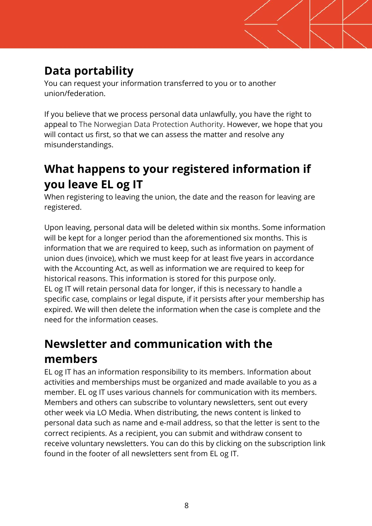# **Data portability**

You can request your information transferred to you or to another union/federation.

If you believe that we process personal data unlawfully, you have the right to appeal to The Norwegian Data Protection Authority. However, we hope that you will contact us first, so that we can assess the matter and resolve any misunderstandings.

# **What happens to your registered information if you leave EL og IT**

When registering to leaving the union, the date and the reason for leaving are registered.

Upon leaving, personal data will be deleted within six months. Some information will be kept for a longer period than the aforementioned six months. This is information that we are required to keep, such as information on payment of union dues (invoice), which we must keep for at least five years in accordance with the Accounting Act, as well as information we are required to keep for historical reasons. This information is stored for this purpose only. EL og IT will retain personal data for longer, if this is necessary to handle a specific case, complains or legal dispute, if it persists after your membership has expired. We will then delete the information when the case is complete and the need for the information ceases.

# **Newsletter and communication with the members**

EL og IT has an information responsibility to its members. Information about activities and memberships must be organized and made available to you as a member. EL og IT uses various channels for communication with its members. Members and others can subscribe to voluntary newsletters, sent out every other week via LO Media. When distributing, the news content is linked to personal data such as name and e-mail address, so that the letter is sent to the correct recipients. As a recipient, you can submit and withdraw consent to receive voluntary newsletters. You can do this by clicking on the subscription link found in the footer of all newsletters sent from EL og IT.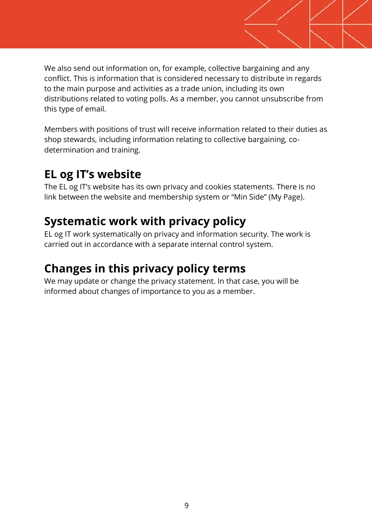We also send out information on, for example, collective bargaining and any conflict. This is information that is considered necessary to distribute in regards to the main purpose and activities as a trade union, including its own distributions related to voting polls. As a member, you cannot unsubscribe from this type of email.

Members with positions of trust will receive information related to their duties as shop stewards, including information relating to collective bargaining, codetermination and training.

### **EL og IT's website**

The EL og IT's website has its own privacy and cookies statements. There is no link between the website and membership system or "Min Side" (My Page).

# **Systematic work with privacy policy**

EL og IT work systematically on privacy and information security. The work is carried out in accordance with a separate internal control system.

# **Changes in this privacy policy terms**

We may update or change the privacy statement. In that case, you will be informed about changes of importance to you as a member.